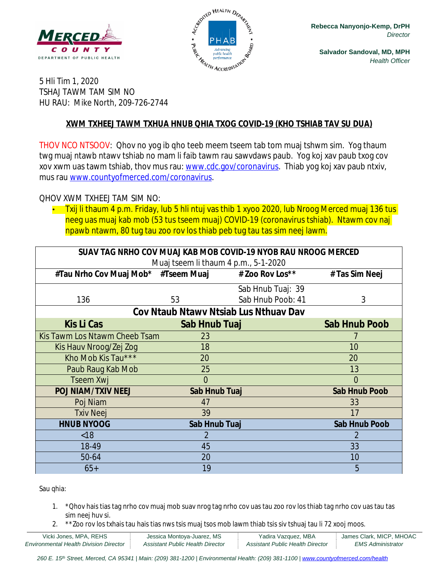



**Salvador Sandoval, MD, MPH** *Health Officer*

5 Hli Tim 1, 2020 TSHAJ TAWM TAM SIM NO HU RAU: Mike North, 209-726-2744

#### **XWM TXHEEJ TAWM TXHUA HNUB QHIA TXOG COVID-19 (KHO TSHIAB TAV SU DUA)**

THOV NCO NTSOOV: Qhov no yog ib qho teeb meem tseem tab tom muaj tshwm sim. Yog thaum twg muaj ntawb ntawv tshiab no mam li faib tawm rau sawvdaws paub. Yog koj xav paub txog cov xov xwm uas tawm tshiab, thov mus rau: [www.cdc.gov/coronavirus](http://www.cdc.gov/coronavirus). Thiab yog koj xav paub ntxiv, mus rau [www.countyofmerced.com/coronavirus.](http://www.countyofmerced.com/coronavirus)

QHOV XWM TXHEEJ TAM SIM NO:

• Txij li thaum 4 p.m. Friday, lub 5 hli ntuj vas thib 1 xyoo 2020, lub Nroog Merced muaj 136 tus neeg uas muaj kab mob (53 tus tseem muaj) COVID-19 (coronavirus tshiab). Ntawm cov naj npawb ntawm, 80 tug tau zoo rov los thiab peb tug tau tas sim neej lawm.

| SUAV TAG NRHO COV MUAJ KAB MOB COVID-19 NYOB RAU NROOG MERCED<br>Muaj tseem li thaum 4 p.m., 5-1-2020 |                |                    |                      |  |  |  |
|-------------------------------------------------------------------------------------------------------|----------------|--------------------|----------------------|--|--|--|
| #Tau Nrho Cov Muaj Mob* #Tseem Muaj                                                                   |                | # Zoo Rov Los $**$ | # Tas Sim Neej       |  |  |  |
|                                                                                                       |                | Sab Hnub Tuaj: 39  |                      |  |  |  |
| 136                                                                                                   | 53             | Sab Hnub Poob: 41  | 3                    |  |  |  |
| Cov Ntaub Ntawy Ntsiab Lus Nthuay Dav                                                                 |                |                    |                      |  |  |  |
| <b>Kis Li Cas</b>                                                                                     | Sab Hnub Tuaj  |                    | <b>Sab Hnub Poob</b> |  |  |  |
| Kis Tawm Los Ntawm Cheeb Tsam                                                                         | 23             |                    |                      |  |  |  |
| Kis Hauv Nroog/Zej Zog                                                                                | 18             |                    | 10                   |  |  |  |
| Kho Mob Kis Tau***                                                                                    | 20             |                    | 20                   |  |  |  |
| Paub Raug Kab Mob                                                                                     | 25             |                    | 13                   |  |  |  |
| Tseem Xwj                                                                                             | $\overline{0}$ |                    | $\Omega$             |  |  |  |
| <b>POJ NIAM/TXIV NEEJ</b>                                                                             | Sab Hnub Tuaj  |                    | <b>Sab Hnub Poob</b> |  |  |  |
| Poj Niam                                                                                              | 47             |                    | 33                   |  |  |  |
| <b>Txiv Neej</b>                                                                                      | 39             |                    | 17                   |  |  |  |
| <b>HNUB NYOOG</b>                                                                                     | Sab Hnub Tuaj  |                    | <b>Sab Hnub Poob</b> |  |  |  |
| < 18                                                                                                  | 2              |                    | 2                    |  |  |  |
| 18-49                                                                                                 | 45             |                    | 33                   |  |  |  |
| 50-64                                                                                                 | 20             |                    | 10                   |  |  |  |
| $65+$                                                                                                 | 19             |                    | 5                    |  |  |  |

Sau qhia:

- 1. \*Qhov hais tias tag nrho cov muaj mob suav nrog tag nrho cov uas tau zoo rov los thiab tag nrho cov uas tau tas sim neej huv si.
- 2. \*\*Zoo rov los txhais tau hais tias nws tsis muaj tsos mob lawm thiab tsis siv tshuaj tau li 72 xooj moos.

| Vicki Jones, MPA, REHS                        | Jessica Montova-Juarez, MS       | Yadira Vazquez, MBA              | James Clark, MICP, MHOAC |
|-----------------------------------------------|----------------------------------|----------------------------------|--------------------------|
| <b>Environmental Health Division Director</b> | Assistant Public Health Director | Assistant Public Health Director | <b>EMS Administrator</b> |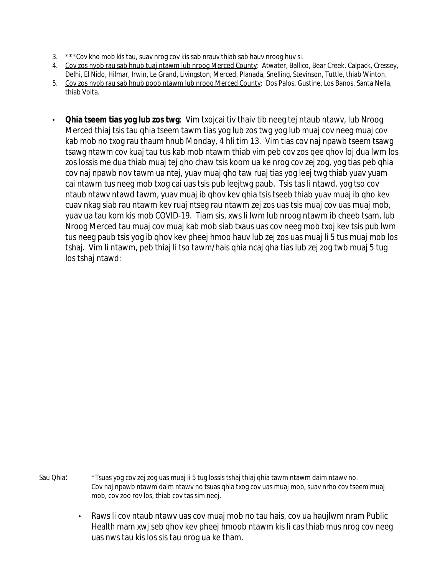- 3. \*\*\*Cov kho mob kis tau, suav nrog cov kis sab nrauv thiab sab hauv nroog huv si.
- 4. Cov zos nyob rau sab hnub tuaj ntawm lub nroog Merced County: Atwater, Ballico, Bear Creek, Calpack, Cressey,
- Delhi, El Nido, Hilmar, Irwin, Le Grand, Livingston, Merced, Planada, Snelling, Stevinson, Tuttle, thiab Winton.
- 5. Cov zos nyob rau sab hnub poob ntawm lub nroog Merced County: Dos Palos, Gustine, Los Banos, Santa Nella, thiab Volta.
- **Qhia tseem tias yog lub zos twg**: Vim txojcai tiv thaiv tib neeg tej ntaub ntawv, lub Nroog Merced thiaj tsis tau qhia tseem tawm tias yog lub zos twg yog lub muaj cov neeg muaj cov kab mob no txog rau thaum hnub Monday, 4 hli tim 13. Vim tias cov naj npawb tseem tsawg tsawg ntawm cov kuaj tau tus kab mob ntawm thiab vim peb cov zos qee qhov loj dua lwm los zos lossis me dua thiab muaj tej qho chaw tsis koom ua ke nrog cov zej zog, yog tias peb qhia cov naj npawb nov tawm ua ntej, yuav muaj qho taw ruaj tias yog leej twg thiab yuav yuam cai ntawm tus neeg mob txog cai uas tsis pub leejtwg paub. Tsis tas li ntawd, yog tso cov ntaub ntawv ntawd tawm, yuav muaj ib qhov kev qhia tsis tseeb thiab yuav muaj ib qho kev cuav nkag siab rau ntawm kev ruaj ntseg rau ntawm zej zos uas tsis muaj cov uas muaj mob, yuav ua tau kom kis mob COVID-19. Tiam sis, xws li lwm lub nroog ntawm ib cheeb tsam, lub Nroog Merced tau muaj cov muaj kab mob siab txaus uas cov neeg mob txoj kev tsis pub lwm tus neeg paub tsis yog ib qhov kev pheej hmoo hauv lub zej zos uas muaj li 5 tus muaj mob los tshaj. Vim li ntawm, peb thiaj li tso tawm/hais qhia ncaj qha tias lub zej zog twb muaj 5 tug los tshaj ntawd:

Sau Qhia: \*Tsuas yog cov zej zog uas muaj li 5 tug lossis tshaj thiaj qhia tawm ntawm daim ntawv no. Cov naj npawb ntawm daim ntawv no tsuas qhia txog cov uas muaj mob, suav nrho cov tseem muaj mob, cov zoo rov los, thiab cov tas sim neej.

> • Raws li cov ntaub ntawy uas cov muaj mob no tau hais, cov ua haujlwm nram Public Health mam xwj seb qhov kev pheej hmoob ntawm kis li cas thiab mus nrog cov neeg uas nws tau kis los sis tau nrog ua ke tham.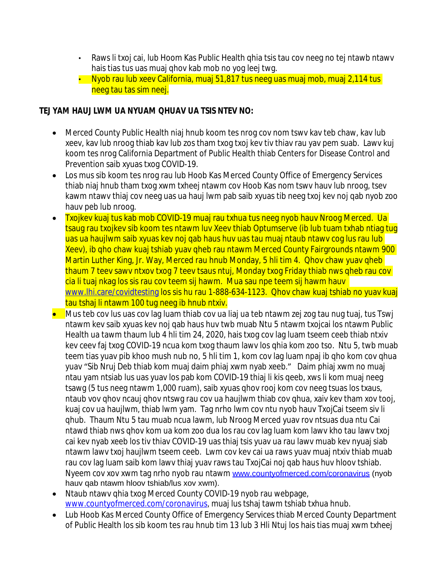- Raws li txoj cai, lub Hoom Kas Public Health ghia tsis tau cov neeg no tej ntawb ntawv hais tias tus uas muaj qhov kab mob no yog leej twg.
- Nyob rau lub xeev California, muaj 51,817 tus neeg uas muaj mob, muaj 2,114 tus neeg tau tas sim neej.

#### **TEJ YAM HAUJ LWM UA NYUAM QHUAV UA TSIS NTEV NO:**

- Merced County Public Health niaj hnub koom tes nrog cov nom tswv kav teb chaw, kav lub xeev, kav lub nroog thiab kav lub zos tham txog txoj kev tiv thiav rau yav pem suab. Lawv kuj koom tes nrog California Department of Public Health thiab Centers for Disease Control and Prevention saib xyuas txog COVID-19.
- Los mus sib koom tes nrog rau lub Hoob Kas Merced County Office of Emergency Services thiab niaj hnub tham txog xwm txheej ntawm cov Hoob Kas nom tswv hauv lub nroog, tsev kawm ntawv thiaj cov neeg uas ua hauj lwm pab saib xyuas tib neeg txoj kev noj qab nyob zoo hauv peb lub nroog.
- Txojkev kuaj tus kab mob COVID-19 muaj rau txhua tus neeg nyob hauv Nroog Merced. Ua tsaug rau txojkev sib koom tes ntawm luv Xeev thiab Optumserve (ib lub tuam txhab ntiag tug uas ua haujlwm saib xyuas key noj qab haus huv uas tau muaj ntaub ntawy cog lus rau lub Xeev), ib qho chaw kuaj tshiab yuav qheb rau ntawm Merced County Fairgrounds ntawm 900 Martin Luther King, Jr. Way, Merced rau hnub Monday, 5 hli tim 4. Qhov chaw yuav qheb thaum 7 teev sawv ntxov txog 7 teev tsaus ntuj, Monday txog Friday thiab nws qheb rau cov cia li tuaj nkag los sis rau cov teem sij hawm. Mua sau npe teem sij hawm hauv [www.lhi.care/covidtesting](http://www.lhi.care/covidtesting) los sis hu rau 1-888-634-1123. Qhov chaw kuaj tshiab no yuav kuaj tau tshaj li ntawm 100 tug neeg ib hnub ntxiv.
- Mus teb cov lus uas cov lag luam thiab cov ua liaj ua teb ntawm zej zog tau nug tuaj, tus Tswj ntawm kev saib xyuas kev noj qab haus huv twb muab Ntu 5 ntawm txojcai los ntawm Public Health ua tawm thaum lub 4 hli tim 24, 2020, hais txog cov lag luam tseem ceeb thiab ntxiv kev ceev faj txog COVID-19 ncua kom txog thaum lawv los qhia kom zoo tso. Ntu 5, twb muab teem tias yuav pib khoo mush nub no, 5 hli tim 1, kom cov lag luam npaj ib qho kom cov qhua yuav "Sib Nruj Deb thiab kom muaj daim phiaj xwm nyab xeeb." Daim phiaj xwm no muaj ntau yam ntsiab lus uas yuav los pab kom COVID-19 thiaj li kis qeeb, xws li kom muaj neeg tsawg (5 tus neeg ntawm 1,000 ruam), saib xyuas qhov rooj kom cov neeg tsuas los txaus, ntaub vov qhov ncauj qhov ntswg rau cov ua haujlwm thiab cov qhua, xaiv kev tham xov tooj, kuaj cov ua haujlwm, thiab lwm yam. Tag nrho lwm cov ntu nyob hauv TxojCai tseem siv li qhub. Thaum Ntu 5 tau muab ncua lawm, lub Nroog Merced yuav rov ntsuas dua ntu Cai ntawd thiab nws qhov kom ua kom zoo dua los rau cov lag luam kom lawv kho tau lawv txoj cai kev nyab xeeb los tiv thiav COVID-19 uas thiaj tsis yuav ua rau lawv muab kev nyuaj siab ntawm lawv txoj haujlwm tseem ceeb. Lwm cov kev cai ua raws yuav muaj ntxiv thiab muab rau cov lag luam saib kom lawv thiaj yuav raws tau TxojCai noj qab haus huv hloov tshiab. Nyeem cov xov xwm tag nrho nyob rau ntawm [www.countyofmerced.com/coronavirus](http://www.countyofmerced.com/coronavirus) (nyob hauv qab ntawm hloov tshiab/lus xov xwm).
- Ntaub ntawy qhia txog Merced County COVID-19 nyob rau webpage, [www.countyofmerced.com/coronavirus](http://www.countyofmerced.com/coronavirus), muaj lus tshaj tawm tshiab txhua hnub.
- Lub Hoob Kas Merced County Office of Emergency Services thiab Merced County Department of Public Health los sib koom tes rau hnub tim 13 lub 3 Hli Ntuj los hais tias muaj xwm txheej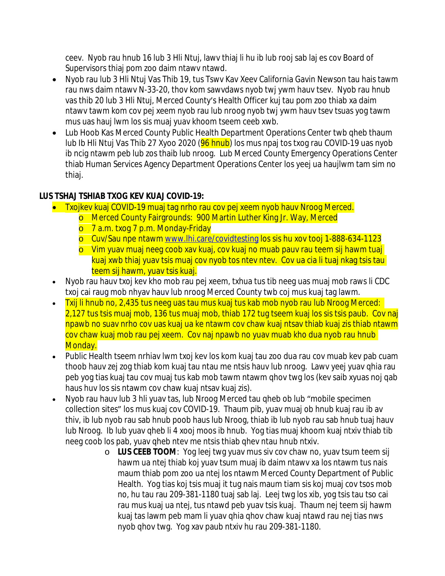ceev. Nyob rau hnub 16 lub 3 Hli Ntuj, lawv thiaj li hu ib lub rooj sab laj es cov Board of Supervisors thiaj pom zoo daim ntawv ntawd.

- Nyob rau lub 3 Hli Ntuj Vas Thib 19, tus Tswv Kav Xeev California Gavin Newson tau hais tawm rau nws daim ntawv N-33-20, thov kom sawvdaws nyob twj ywm hauv tsev. Nyob rau hnub vas thib 20 lub 3 Hli Ntuj, Merced County's Health Officer kuj tau pom zoo thiab xa daim ntawv tawm kom cov pej xeem nyob rau lub nroog nyob twj ywm hauv tsev tsuas yog tawm mus uas hauj lwm los sis muaj yuav khoom tseem ceeb xwb.
- Lub Hoob Kas Merced County Public Health Department Operations Center twb gheb thaum lub Ib Hli Ntuj Vas Thib 27 Xyoo 2020 (96 hnub) los mus npaj tos txog rau COVID-19 uas nyob ib ncig ntawm peb lub zos thaib lub nroog. Lub Merced County Emergency Operations Center thiab Human Services Agency Department Operations Center los yeej ua haujlwm tam sim no thiaj.

# **LUS TSHAJ TSHIAB TXOG KEV KUAJ COVID-19:**

- Txojkev kuaj COVID-19 muaj tag nrho rau cov pej xeem nyob hauv Nroog Merced.
	- o Merced County Fairgrounds: 900 Martin Luther King Jr. Way, Merced
	- o 7 a.m. txog 7 p.m. Monday-Friday
	- o Cuv/Sau npe ntawm [www.lhi.care/covidtesting](http://www.lhi.care/covidtesting) los sis hu xov tooj 1-888-634-1123
	- o Vim yuav muaj neeg coob xav kuaj, cov kuaj no muab pauv rau teem sij hawm tuaj kuaj xwb thiaj yuav tsis muaj cov nyob tos ntev ntev. Cov ua cia li tuaj nkag tsis tau teem sij hawm, yuav tsis kuaj.
- Nyob rau hauv txoj kev kho mob rau pej xeem, txhua tus tib neeg uas muaj mob raws li CDC txoj cai raug mob nhyav hauv lub nroog Merced County twb coj mus kuaj tag lawm.
- Txij li hnub no, 2,435 tus neeg uas tau mus kuaj tus kab mob nyob rau lub Nroog Merced: 2,127 tus tsis muaj mob, 136 tus muaj mob, thiab 172 tug tseem kuaj los sis tsis paub. Cov naj npawb no suav nrho cov uas kuaj ua ke ntawm cov chaw kuaj ntsav thiab kuaj zis thiab ntawm cov chaw kuaj mob rau pej xeem. Cov naj npawb no yuav muab kho dua nyob rau hnub Monday.
- Public Health tseem nrhiav lwm txoj kev los kom kuaj tau zoo dua rau cov muab kev pab cuam thoob hauv zej zog thiab kom kuaj tau ntau me ntsis hauv lub nroog. Lawv yeej yuav qhia rau peb yog tias kuaj tau cov muaj tus kab mob tawm ntawm qhov twg los (kev saib xyuas noj qab haus huv los sis ntawm cov chaw kuaj ntsav kuaj zis).
- Nyob rau hauv lub 3 hli yuav tas, lub Nroog Merced tau qheb ob lub "mobile specimen collection sites" los mus kuaj cov COVID-19. Thaum pib, yuav muaj ob hnub kuaj rau ib av thiv, ib lub nyob rau sab hnub poob haus lub Nroog, thiab ib lub nyob rau sab hnub tuaj hauv lub Nroog. Ib lub yuav qheb li 4 xooj moos ib hnub. Yog tias muaj khoom kuaj ntxiv thiab tib neeg coob los pab, yuav qheb ntev me ntsis thiab qhev ntau hnub ntxiv.
	- o **LUS CEEB TOOM**: Yog leej twg yuav mus siv cov chaw no, yuav tsum teem sij hawm ua ntej thiab koj yuav tsum muaj ib daim ntawv xa los ntawm tus nais maum thiab pom zoo ua ntej los ntawm Merced County Department of Public Health. Yog tias koj tsis muaj it tug nais maum tiam sis koj muaj cov tsos mob no, hu tau rau 209-381-1180 tuaj sab laj. Leej twg los xib, yog tsis tau tso cai rau mus kuaj ua ntej, tus ntawd peb yuav tsis kuaj. Thaum nej teem sij hawm kuaj tas lawm peb mam li yuav qhia qhov chaw kuaj ntawd rau nej tias nws nyob qhov twg. Yog xav paub ntxiv hu rau 209-381-1180.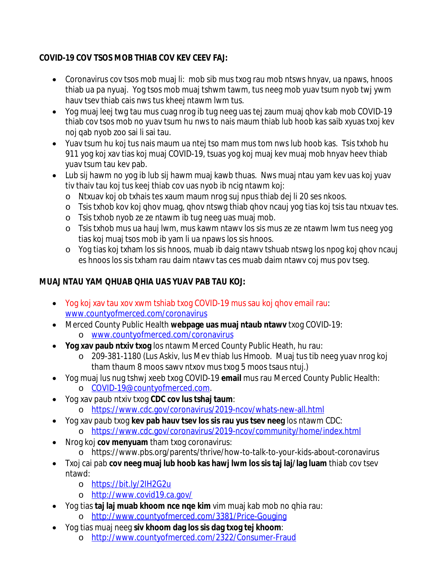### **COVID-19 COV TSOS MOB THIAB COV KEV CEEV FAJ:**

- Coronavirus cov tsos mob muaj li: mob sib mus txog rau mob ntsws hnyav, ua npaws, hnoos thiab ua pa nyuaj. Yog tsos mob muaj tshwm tawm, tus neeg mob yuav tsum nyob twj ywm hauv tsev thiab cais nws tus kheej ntawm lwm tus.
- Yog muaj leej twg tau mus cuag nrog ib tug neeg uas tej zaum muaj qhov kab mob COVID-19 thiab cov tsos mob no yuav tsum hu nws to nais maum thiab lub hoob kas saib xyuas txoj kev noj qab nyob zoo sai li sai tau.
- Yuav tsum hu koj tus nais maum ua ntej tso mam mus tom nws lub hoob kas. Tsis txhob hu 911 yog koj xav tias koj muaj COVID-19, tsuas yog koj muaj kev muaj mob hnyav heev thiab yuav tsum tau kev pab.
- Lub sij hawm no yog ib lub sij hawm muaj kawb thuas. Nws muaj ntau yam kev uas koj yuav tiv thaiv tau koj tus keej thiab cov uas nyob ib ncig ntawm koj:
	- o Ntxuav koj ob txhais tes xaum maum nrog suj npus thiab dej li 20 ses nkoos.
	- o Tsis txhob kov koj qhov muag, qhov ntswg thiab qhov ncauj yog tias koj tsis tau ntxuav tes.
	- o Tsis txhob nyob ze ze ntawm ib tug neeg uas muaj mob.
	- o Tsis txhob mus ua hauj lwm, mus kawm ntawv los sis mus ze ze ntawm lwm tus neeg yog tias koj muaj tsos mob ib yam li ua npaws los sis hnoos.
	- o Yog tias koj txham los sis hnoos, muab ib daig ntawv tshuab ntswg los npog koj qhov ncauj es hnoos los sis txham rau daim ntawv tas ces muab daim ntawv coj mus pov tseg.

# **MUAJ NTAU YAM QHUAB QHIA UAS YUAV PAB TAU KOJ:**

- Yog koj xav tau xov xwm tshiab txog COVID-19 mus sau koj qhov email rau: [www.countyofmerced.com/coronavirus](http://www.countyofmerced.com/coronavirus)
- Merced County Public Health **webpage uas muaj ntaub ntawv** txog COVID-19: o [www.countyofmerced.com/coronavirus](http://www.countyofmerced.com/coronavirus)
- **Yog xav paub ntxiv txog** los ntawm Merced County Public Heath, hu rau:
	- o 209-381-1180 (Lus Askiv, lus Mev thiab lus Hmoob. Muaj tus tib neeg yuav nrog koj tham thaum 8 moos sawv ntxov mus txog 5 moos tsaus ntuj.)
- Yog muaj lus nug tshwj xeeb txog COVID-19 **email** mus rau Merced County Public Health: o [COVID-19@countyofmerced.com.](mailto:COVID-19@countyofmerced.com)
- Yog xav paub ntxiv txog **CDC cov lus tshaj taum**:
	- o <https://www.cdc.gov/coronavirus/2019-ncov/whats-new-all.html>
- Yog xav paub txog **kev pab hauv tsev los sis rau yus tsev neeg** los ntawm CDC: o <https://www.cdc.gov/coronavirus/2019-ncov/community/home/index.html>
- Nrog koj **cov menyuam** tham txog coronavirus:
	- o https://www.pbs.org/parents/thrive/how-to-talk-to-your-kids-about-coronavirus
- Txoj cai pab **cov neeg muaj lub hoob kas hawj lwm los sis taj laj/lag luam** thiab cov tsev ntawd:
	- o <https://bit.ly/2IH2G2u>
	- o <http://www.covid19.ca.gov/>
- Yog tias **taj laj muab khoom nce nqe kim** vim muaj kab mob no qhia rau: o <http://www.countyofmerced.com/3381/Price-Gouging>
- Yog tias muaj neeg **siv khoom dag los sis dag txog tej khoom**:
	- o <http://www.countyofmerced.com/2322/Consumer-Fraud>